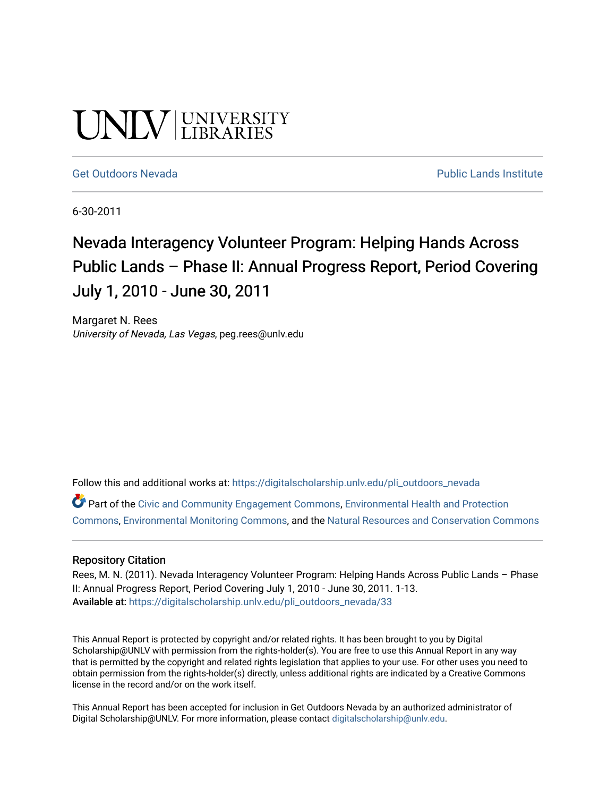# UNIV UNIVERSITY

#### [Get Outdoors Nevada](https://digitalscholarship.unlv.edu/pli_outdoors_nevada) **Public Lands Institute** Public Lands Institute

6-30-2011

# Nevada Interagency Volunteer Program: Helping Hands Across Public Lands – Phase II: Annual Progress Report, Period Covering July 1, 2010 - June 30, 2011

Margaret N. Rees University of Nevada, Las Vegas, peg.rees@unlv.edu

Follow this and additional works at: [https://digitalscholarship.unlv.edu/pli\\_outdoors\\_nevada](https://digitalscholarship.unlv.edu/pli_outdoors_nevada?utm_source=digitalscholarship.unlv.edu%2Fpli_outdoors_nevada%2F33&utm_medium=PDF&utm_campaign=PDFCoverPages)

Part of the [Civic and Community Engagement Commons](http://network.bepress.com/hgg/discipline/1028?utm_source=digitalscholarship.unlv.edu%2Fpli_outdoors_nevada%2F33&utm_medium=PDF&utm_campaign=PDFCoverPages), [Environmental Health and Protection](http://network.bepress.com/hgg/discipline/172?utm_source=digitalscholarship.unlv.edu%2Fpli_outdoors_nevada%2F33&utm_medium=PDF&utm_campaign=PDFCoverPages)  [Commons](http://network.bepress.com/hgg/discipline/172?utm_source=digitalscholarship.unlv.edu%2Fpli_outdoors_nevada%2F33&utm_medium=PDF&utm_campaign=PDFCoverPages), [Environmental Monitoring Commons,](http://network.bepress.com/hgg/discipline/931?utm_source=digitalscholarship.unlv.edu%2Fpli_outdoors_nevada%2F33&utm_medium=PDF&utm_campaign=PDFCoverPages) and the [Natural Resources and Conservation Commons](http://network.bepress.com/hgg/discipline/168?utm_source=digitalscholarship.unlv.edu%2Fpli_outdoors_nevada%2F33&utm_medium=PDF&utm_campaign=PDFCoverPages)

#### Repository Citation

Rees, M. N. (2011). Nevada Interagency Volunteer Program: Helping Hands Across Public Lands - Phase II: Annual Progress Report, Period Covering July 1, 2010 - June 30, 2011. 1-13. Available at: [https://digitalscholarship.unlv.edu/pli\\_outdoors\\_nevada/33](https://digitalscholarship.unlv.edu/pli_outdoors_nevada/33) 

This Annual Report is protected by copyright and/or related rights. It has been brought to you by Digital Scholarship@UNLV with permission from the rights-holder(s). You are free to use this Annual Report in any way that is permitted by the copyright and related rights legislation that applies to your use. For other uses you need to obtain permission from the rights-holder(s) directly, unless additional rights are indicated by a Creative Commons license in the record and/or on the work itself.

This Annual Report has been accepted for inclusion in Get Outdoors Nevada by an authorized administrator of Digital Scholarship@UNLV. For more information, please contact [digitalscholarship@unlv.edu](mailto:digitalscholarship@unlv.edu).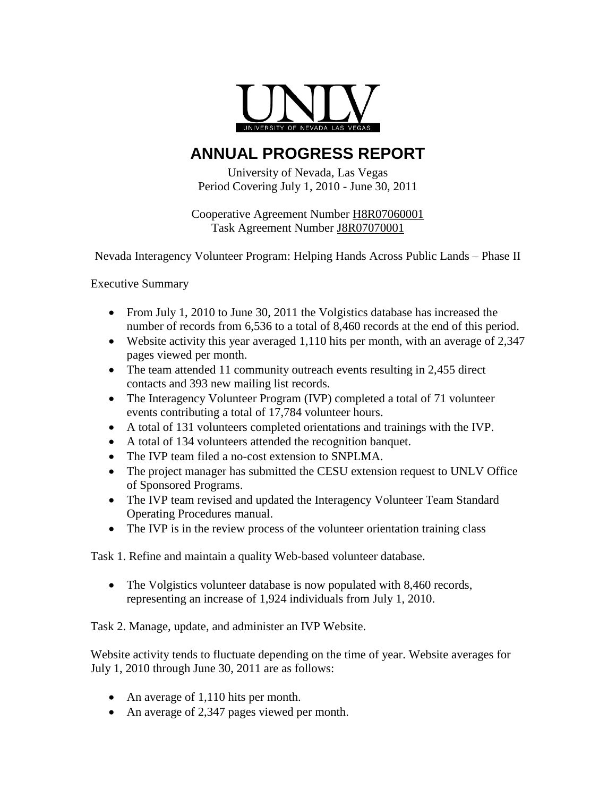

# **ANNUAL PROGRESS REPORT**

University of Nevada, Las Vegas Period Covering July 1, 2010 - June 30, 2011

Cooperative Agreement Number H8R07060001 Task Agreement Number J8R07070001

Nevada Interagency Volunteer Program: Helping Hands Across Public Lands – Phase II

Executive Summary

- From July 1, 2010 to June 30, 2011 the Volgistics database has increased the number of records from 6,536 to a total of 8,460 records at the end of this period.
- Website activity this year averaged 1,110 hits per month, with an average of 2,347 pages viewed per month.
- The team attended 11 community outreach events resulting in 2,455 direct contacts and 393 new mailing list records.
- The Interagency Volunteer Program (IVP) completed a total of 71 volunteer events contributing a total of 17,784 volunteer hours.
- A total of 131 volunteers completed orientations and trainings with the IVP.
- A total of 134 volunteers attended the recognition banquet.
- The IVP team filed a no-cost extension to SNPLMA.
- The project manager has submitted the CESU extension request to UNLV Office of Sponsored Programs.
- The IVP team revised and updated the Interagency Volunteer Team Standard Operating Procedures manual.
- The IVP is in the review process of the volunteer orientation training class

Task 1. Refine and maintain a quality Web-based volunteer database.

• The Volgistics volunteer database is now populated with 8,460 records, representing an increase of 1,924 individuals from July 1, 2010.

Task 2. Manage, update, and administer an IVP Website.

Website activity tends to fluctuate depending on the time of year. Website averages for July 1, 2010 through June 30, 2011 are as follows:

- An average of 1,110 hits per month.
- An average of 2,347 pages viewed per month.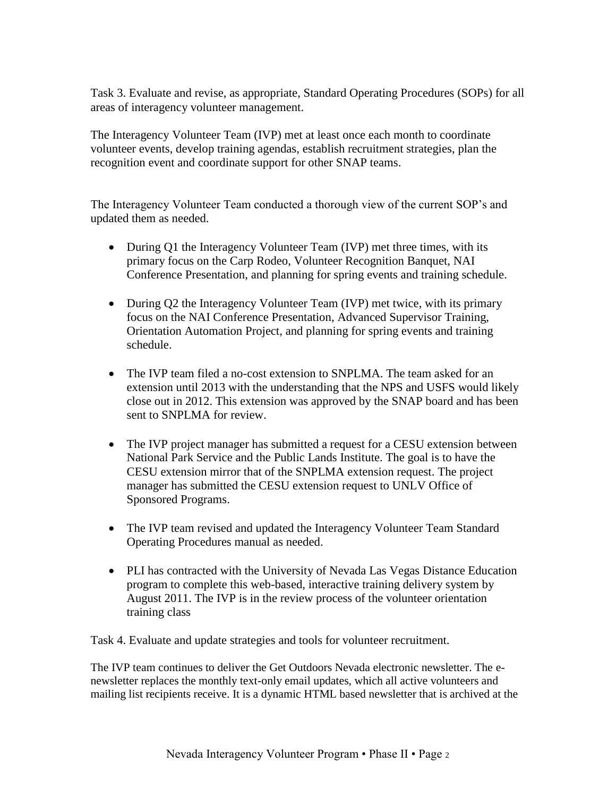Task 3. Evaluate and revise, as appropriate, Standard Operating Procedures (SOPs) for all areas of interagency volunteer management.

The Interagency Volunteer Team (IVP) met at least once each month to coordinate volunteer events, develop training agendas, establish recruitment strategies, plan the recognition event and coordinate support for other SNAP teams.

The Interagency Volunteer Team conducted a thorough view of the current SOP's and updated them as needed.

- During Q1 the Interagency Volunteer Team (IVP) met three times, with its primary focus on the Carp Rodeo, Volunteer Recognition Banquet, NAI Conference Presentation, and planning for spring events and training schedule.
- During Q2 the Interagency Volunteer Team (IVP) met twice, with its primary focus on the NAI Conference Presentation, Advanced Supervisor Training, Orientation Automation Project, and planning for spring events and training schedule.
- The IVP team filed a no-cost extension to SNPLMA. The team asked for an extension until 2013 with the understanding that the NPS and USFS would likely close out in 2012. This extension was approved by the SNAP board and has been sent to SNPLMA for review.
- The IVP project manager has submitted a request for a CESU extension between National Park Service and the Public Lands Institute. The goal is to have the CESU extension mirror that of the SNPLMA extension request. The project manager has submitted the CESU extension request to UNLV Office of Sponsored Programs.
- The IVP team revised and updated the Interagency Volunteer Team Standard Operating Procedures manual as needed.
- PLI has contracted with the University of Nevada Las Vegas Distance Education program to complete this web-based, interactive training delivery system by August 2011. The IVP is in the review process of the volunteer orientation training class

Task 4. Evaluate and update strategies and tools for volunteer recruitment.

The IVP team continues to deliver the Get Outdoors Nevada electronic newsletter. The enewsletter replaces the monthly text-only email updates, which all active volunteers and mailing list recipients receive. It is a dynamic HTML based newsletter that is archived at the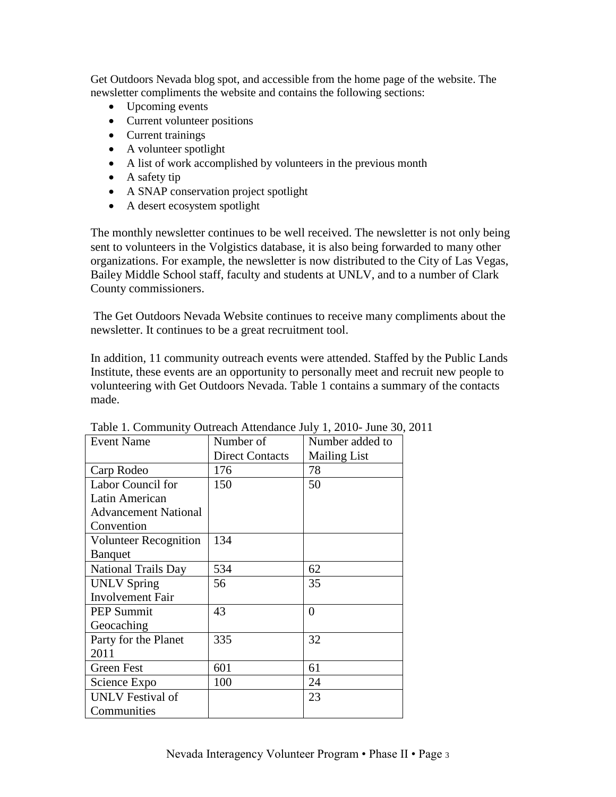Get Outdoors Nevada blog spot, and accessible from the home page of the website. The newsletter compliments the website and contains the following sections:

- Upcoming events
- Current volunteer positions
- Current trainings
- A volunteer spotlight
- A list of work accomplished by volunteers in the previous month
- $\bullet$  A safety tip
- A SNAP conservation project spotlight
- A desert ecosystem spotlight

The monthly newsletter continues to be well received. The newsletter is not only being sent to volunteers in the Volgistics database, it is also being forwarded to many other organizations. For example, the newsletter is now distributed to the City of Las Vegas, Bailey Middle School staff, faculty and students at UNLV, and to a number of Clark County commissioners.

The Get Outdoors Nevada Website continues to receive many compliments about the newsletter. It continues to be a great recruitment tool.

In addition, 11 community outreach events were attended. Staffed by the Public Lands Institute, these events are an opportunity to personally meet and recruit new people to volunteering with Get Outdoors Nevada. Table 1 contains a summary of the contacts made.

| <b>Event Name</b>            | Number of              | Number added to     |
|------------------------------|------------------------|---------------------|
|                              | <b>Direct Contacts</b> | <b>Mailing List</b> |
| Carp Rodeo                   | 176                    | 78                  |
| Labor Council for            | 150                    | 50                  |
| Latin American               |                        |                     |
| <b>Advancement National</b>  |                        |                     |
| Convention                   |                        |                     |
| <b>Volunteer Recognition</b> | 134                    |                     |
| <b>Banquet</b>               |                        |                     |
| <b>National Trails Day</b>   | 534                    | 62                  |
| <b>UNLV Spring</b>           | 56                     | 35                  |
| <b>Involvement Fair</b>      |                        |                     |
| <b>PEP Summit</b>            | 43                     | 0                   |
| Geocaching                   |                        |                     |
| Party for the Planet         | 335                    | 32                  |
| 2011                         |                        |                     |
| Green Fest                   | 601                    | 61                  |
| Science Expo                 | 100                    | 24                  |
| <b>UNLV</b> Festival of      |                        | 23                  |
| Communities                  |                        |                     |

Table 1. Community Outreach Attendance July 1, 2010- June 30, 2011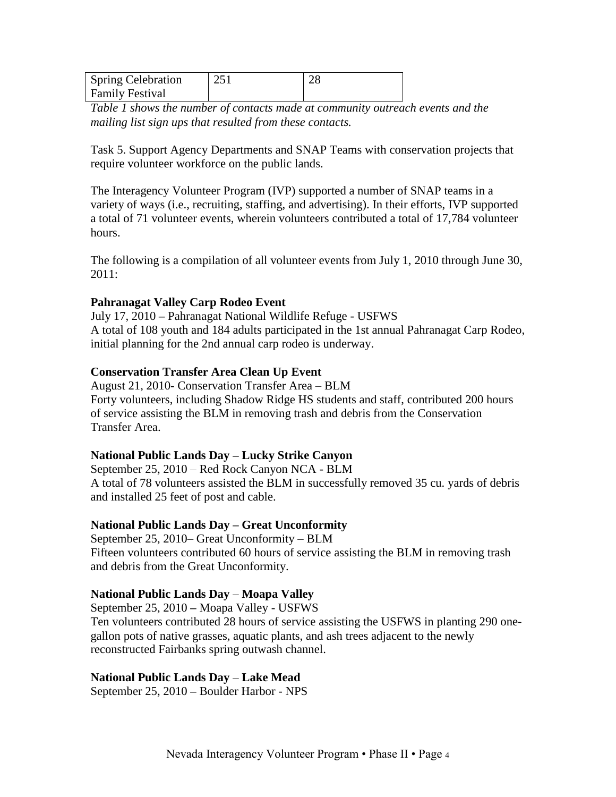| <b>Spring Celebration</b> | 251 |  |
|---------------------------|-----|--|
| <b>Family Festival</b>    |     |  |

*Table 1 shows the number of contacts made at community outreach events and the mailing list sign ups that resulted from these contacts.*

Task 5. Support Agency Departments and SNAP Teams with conservation projects that require volunteer workforce on the public lands.

The Interagency Volunteer Program (IVP) supported a number of SNAP teams in a variety of ways (i.e., recruiting, staffing, and advertising). In their efforts, IVP supported a total of 71 volunteer events, wherein volunteers contributed a total of 17,784 volunteer hours.

The following is a compilation of all volunteer events from July 1, 2010 through June 30, 2011:

# **Pahranagat Valley Carp Rodeo Event**

July 17, 2010 **–** Pahranagat National Wildlife Refuge - USFWS A total of 108 youth and 184 adults participated in the 1st annual Pahranagat Carp Rodeo, initial planning for the 2nd annual carp rodeo is underway.

#### **Conservation Transfer Area Clean Up Event**

August 21, 2010**-** Conservation Transfer Area – BLM Forty volunteers, including Shadow Ridge HS students and staff, contributed 200 hours of service assisting the BLM in removing trash and debris from the Conservation Transfer Area.

#### **National Public Lands Day – Lucky Strike Canyon**

September 25, 2010 – Red Rock Canyon NCA - BLM A total of 78 volunteers assisted the BLM in successfully removed 35 cu. yards of debris and installed 25 feet of post and cable.

#### **National Public Lands Day – Great Unconformity**

September 25, 2010– Great Unconformity – BLM Fifteen volunteers contributed 60 hours of service assisting the BLM in removing trash and debris from the Great Unconformity.

#### **National Public Lands Day** – **Moapa Valley**

September 25, 2010 **–** Moapa Valley - USFWS Ten volunteers contributed 28 hours of service assisting the USFWS in planting 290 onegallon pots of native grasses, aquatic plants, and ash trees adjacent to the newly reconstructed Fairbanks spring outwash channel.

#### **National Public Lands Day** – **Lake Mead**

September 25, 2010 **–** Boulder Harbor - NPS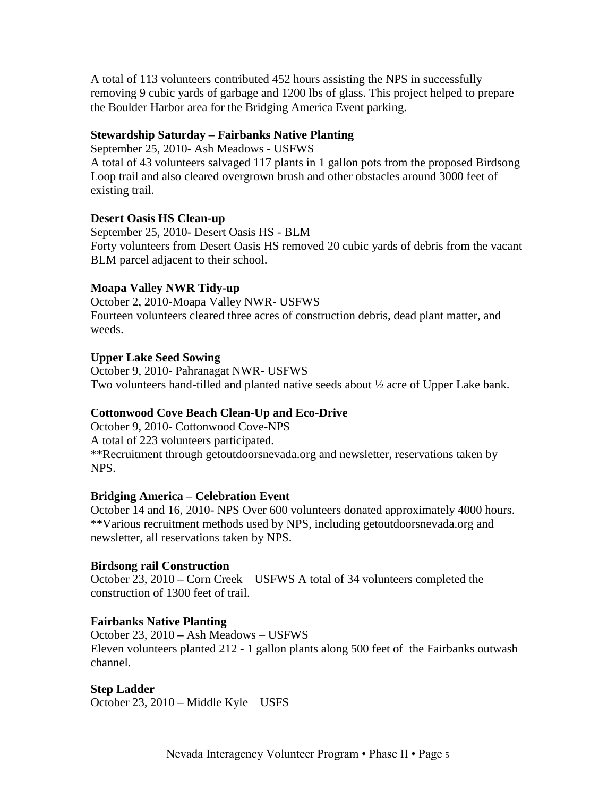A total of 113 volunteers contributed 452 hours assisting the NPS in successfully removing 9 cubic yards of garbage and 1200 lbs of glass. This project helped to prepare the Boulder Harbor area for the Bridging America Event parking.

# **Stewardship Saturday – Fairbanks Native Planting**

September 25, 2010- Ash Meadows - USFWS

A total of 43 volunteers salvaged 117 plants in 1 gallon pots from the proposed Birdsong Loop trail and also cleared overgrown brush and other obstacles around 3000 feet of existing trail.

# **Desert Oasis HS Clean-up**

September 25, 2010- Desert Oasis HS - BLM Forty volunteers from Desert Oasis HS removed 20 cubic yards of debris from the vacant BLM parcel adjacent to their school.

# **Moapa Valley NWR Tidy-up**

October 2, 2010-Moapa Valley NWR- USFWS Fourteen volunteers cleared three acres of construction debris, dead plant matter, and weeds.

# **Upper Lake Seed Sowing**

October 9, 2010- Pahranagat NWR- USFWS Two volunteers hand-tilled and planted native seeds about ½ acre of Upper Lake bank.

# **Cottonwood Cove Beach Clean-Up and Eco-Drive**

October 9, 2010- Cottonwood Cove-NPS A total of 223 volunteers participated. \*\*Recruitment through getoutdoorsnevada.org and newsletter, reservations taken by NPS.

#### **Bridging America – Celebration Event**

October 14 and 16, 2010- NPS Over 600 volunteers donated approximately 4000 hours. \*\*Various recruitment methods used by NPS, including getoutdoorsnevada.org and newsletter, all reservations taken by NPS.

#### **Birdsong rail Construction**

October 23, 2010 **–** Corn Creek – USFWS A total of 34 volunteers completed the construction of 1300 feet of trail.

# **Fairbanks Native Planting**

October 23, 2010 **–** Ash Meadows – USFWS Eleven volunteers planted 212 - 1 gallon plants along 500 feet of the Fairbanks outwash channel.

#### **Step Ladder**

October 23, 2010 **–** Middle Kyle – USFS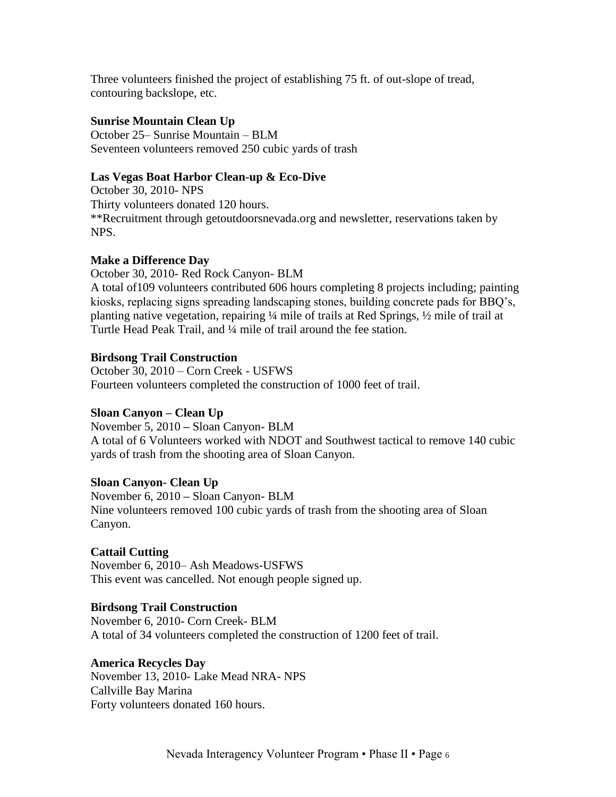Three volunteers finished the project of establishing 75 ft. of out-slope of tread, contouring backslope, etc.

# **Sunrise Mountain Clean Up**

October 25– Sunrise Mountain – BLM Seventeen volunteers removed 250 cubic yards of trash

# **Las Vegas Boat Harbor Clean-up & Eco-Dive**

October 30, 2010- NPS Thirty volunteers donated 120 hours. \*\*Recruitment through getoutdoorsnevada.org and newsletter, reservations taken by NPS.

# **Make a Difference Day**

October 30, 2010- Red Rock Canyon- BLM A total of109 volunteers contributed 606 hours completing 8 projects including; painting kiosks, replacing signs spreading landscaping stones, building concrete pads for BBQ's, planting native vegetation, repairing ¼ mile of trails at Red Springs, ½ mile of trail at Turtle Head Peak Trail, and ¼ mile of trail around the fee station.

# **Birdsong Trail Construction**

October 30, 2010 – Corn Creek - USFWS Fourteen volunteers completed the construction of 1000 feet of trail.

# **Sloan Canyon – Clean Up**

November 5, 2010 **–** Sloan Canyon- BLM A total of 6 Volunteers worked with NDOT and Southwest tactical to remove 140 cubic yards of trash from the shooting area of Sloan Canyon.

# **Sloan Canyon- Clean Up**

November 6, 2010 **–** Sloan Canyon- BLM Nine volunteers removed 100 cubic yards of trash from the shooting area of Sloan Canyon.

# **Cattail Cutting**

November 6, 2010– Ash Meadows-USFWS This event was cancelled. Not enough people signed up.

# **Birdsong Trail Construction**

November 6, 2010- Corn Creek- BLM A total of 34 volunteers completed the construction of 1200 feet of trail.

# **America Recycles Day**

November 13, 2010- Lake Mead NRA- NPS Callville Bay Marina Forty volunteers donated 160 hours.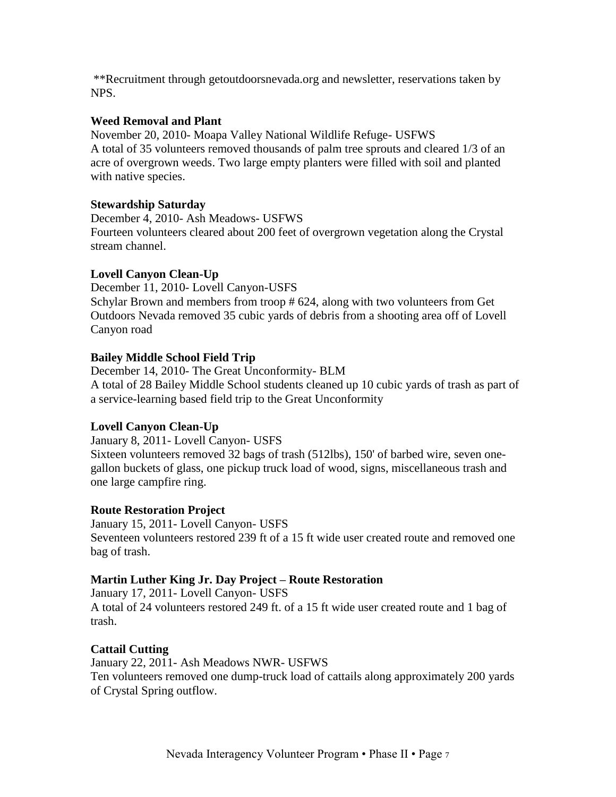\*\*Recruitment through getoutdoorsnevada.org and newsletter, reservations taken by NPS.

# **Weed Removal and Plant**

November 20, 2010- Moapa Valley National Wildlife Refuge- USFWS A total of 35 volunteers removed thousands of palm tree sprouts and cleared 1/3 of an acre of overgrown weeds. Two large empty planters were filled with soil and planted with native species.

# **Stewardship Saturday**

December 4, 2010- Ash Meadows- USFWS Fourteen volunteers cleared about 200 feet of overgrown vegetation along the Crystal stream channel.

# **Lovell Canyon Clean-Up**

December 11, 2010- Lovell Canyon-USFS Schylar Brown and members from troop # 624, along with two volunteers from Get Outdoors Nevada removed 35 cubic yards of debris from a shooting area off of Lovell Canyon road

# **Bailey Middle School Field Trip**

December 14, 2010- The Great Unconformity- BLM A total of 28 Bailey Middle School students cleaned up 10 cubic yards of trash as part of a service-learning based field trip to the Great Unconformity

# **Lovell Canyon Clean-Up**

January 8, 2011- Lovell Canyon- USFS Sixteen volunteers removed 32 bags of trash (512lbs), 150' of barbed wire, seven onegallon buckets of glass, one pickup truck load of wood, signs, miscellaneous trash and one large campfire ring.

# **Route Restoration Project**

January 15, 2011- Lovell Canyon- USFS Seventeen volunteers restored 239 ft of a 15 ft wide user created route and removed one bag of trash.

# **Martin Luther King Jr. Day Project – Route Restoration**

January 17, 2011- Lovell Canyon- USFS A total of 24 volunteers restored 249 ft. of a 15 ft wide user created route and 1 bag of trash.

# **Cattail Cutting**

January 22, 2011- Ash Meadows NWR- USFWS Ten volunteers removed one dump-truck load of cattails along approximately 200 yards of Crystal Spring outflow.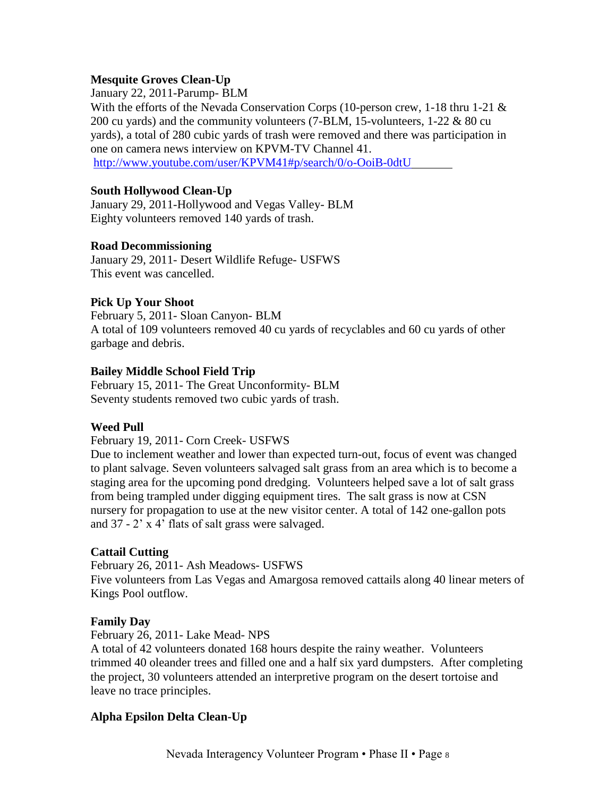# **Mesquite Groves Clean-Up**

#### January 22, 2011-Parump- BLM

With the efforts of the Nevada Conservation Corps (10-person crew, 1-18 thru 1-21 & 200 cu yards) and the community volunteers (7-BLM, 15-volunteers, 1-22 & 80 cu yards), a total of 280 cubic yards of trash were removed and there was participation in one on camera news interview on KPVM-TV Channel 41.

<http://www.youtube.com/user/KPVM41#p/search/0/o-OoiB-0dtU>

#### **South Hollywood Clean-Up**

January 29, 2011-Hollywood and Vegas Valley- BLM Eighty volunteers removed 140 yards of trash.

#### **Road Decommissioning**

January 29, 2011- Desert Wildlife Refuge- USFWS This event was cancelled.

#### **Pick Up Your Shoot**

February 5, 2011- Sloan Canyon- BLM A total of 109 volunteers removed 40 cu yards of recyclables and 60 cu yards of other garbage and debris.

#### **Bailey Middle School Field Trip**

February 15, 2011- The Great Unconformity- BLM Seventy students removed two cubic yards of trash.

#### **Weed Pull**

#### February 19, 2011- Corn Creek- USFWS

Due to inclement weather and lower than expected turn-out, focus of event was changed to plant salvage. Seven volunteers salvaged salt grass from an area which is to become a staging area for the upcoming pond dredging. Volunteers helped save a lot of salt grass from being trampled under digging equipment tires. The salt grass is now at CSN nursery for propagation to use at the new visitor center. A total of 142 one-gallon pots and 37 - 2' x 4' flats of salt grass were salvaged.

#### **Cattail Cutting**

February 26, 2011- Ash Meadows- USFWS Five volunteers from Las Vegas and Amargosa removed cattails along 40 linear meters of Kings Pool outflow.

#### **Family Day**

February 26, 2011- Lake Mead- NPS

A total of 42 volunteers donated 168 hours despite the rainy weather. Volunteers trimmed 40 oleander trees and filled one and a half six yard dumpsters. After completing the project, 30 volunteers attended an interpretive program on the desert tortoise and leave no trace principles.

#### **Alpha Epsilon Delta Clean-Up**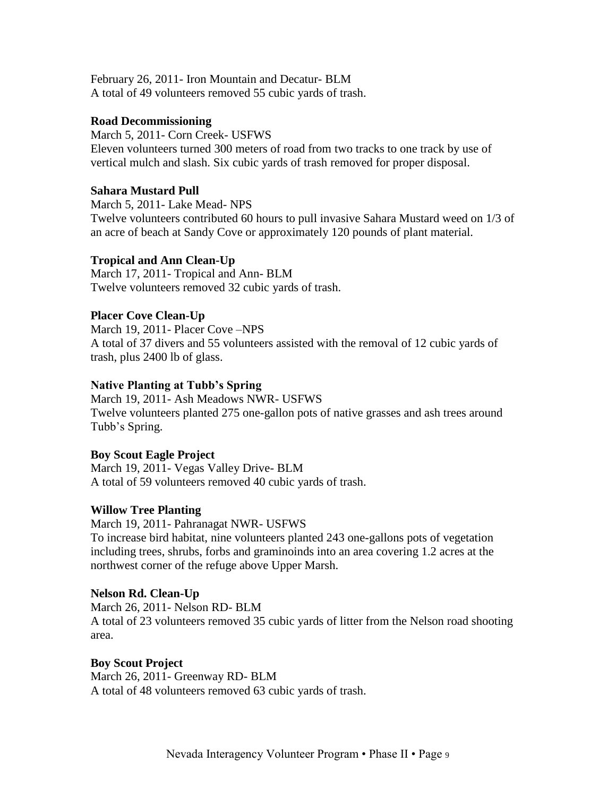February 26, 2011- Iron Mountain and Decatur- BLM A total of 49 volunteers removed 55 cubic yards of trash.

#### **Road Decommissioning**

March 5, 2011- Corn Creek- USFWS Eleven volunteers turned 300 meters of road from two tracks to one track by use of vertical mulch and slash. Six cubic yards of trash removed for proper disposal.

#### **Sahara Mustard Pull**

March 5, 2011- Lake Mead- NPS Twelve volunteers contributed 60 hours to pull invasive Sahara Mustard weed on 1/3 of an acre of beach at Sandy Cove or approximately 120 pounds of plant material.

#### **Tropical and Ann Clean-Up**

March 17, 2011- Tropical and Ann- BLM Twelve volunteers removed 32 cubic yards of trash.

#### **Placer Cove Clean-Up**

March 19, 2011- Placer Cove –NPS A total of 37 divers and 55 volunteers assisted with the removal of 12 cubic yards of trash, plus 2400 lb of glass.

#### **Native Planting at Tubb's Spring**

March 19, 2011- Ash Meadows NWR- USFWS Twelve volunteers planted 275 one-gallon pots of native grasses and ash trees around Tubb's Spring.

#### **Boy Scout Eagle Project**

March 19, 2011- Vegas Valley Drive- BLM A total of 59 volunteers removed 40 cubic yards of trash.

#### **Willow Tree Planting**

March 19, 2011- Pahranagat NWR- USFWS To increase bird habitat, nine volunteers planted 243 one-gallons pots of vegetation including trees, shrubs, forbs and graminoinds into an area covering 1.2 acres at the northwest corner of the refuge above Upper Marsh.

#### **Nelson Rd. Clean-Up**

March 26, 2011- Nelson RD- BLM A total of 23 volunteers removed 35 cubic yards of litter from the Nelson road shooting area.

# **Boy Scout Project**

March 26, 2011- Greenway RD- BLM A total of 48 volunteers removed 63 cubic yards of trash.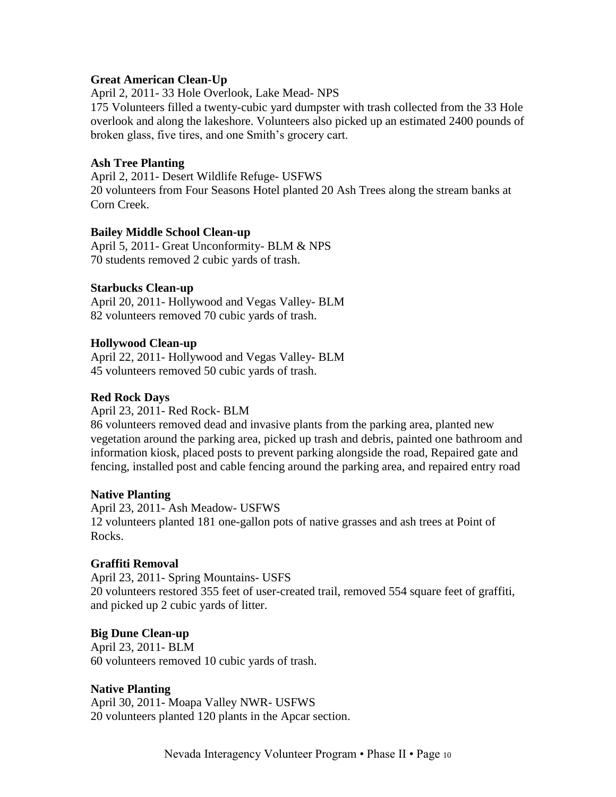#### **Great American Clean-Up**

April 2, 2011- 33 Hole Overlook, Lake Mead- NPS

175 Volunteers filled a twenty-cubic yard dumpster with trash collected from the 33 Hole overlook and along the lakeshore. Volunteers also picked up an estimated 2400 pounds of broken glass, five tires, and one Smith's grocery cart.

#### **Ash Tree Planting**

April 2, 2011- Desert Wildlife Refuge- USFWS 20 volunteers from Four Seasons Hotel planted 20 Ash Trees along the stream banks at Corn Creek.

#### **Bailey Middle School Clean-up**

April 5, 2011- Great Unconformity- BLM & NPS 70 students removed 2 cubic yards of trash.

# **Starbucks Clean-up**

April 20, 2011- Hollywood and Vegas Valley- BLM 82 volunteers removed 70 cubic yards of trash.

# **Hollywood Clean-up**

April 22, 2011- Hollywood and Vegas Valley- BLM 45 volunteers removed 50 cubic yards of trash.

#### **Red Rock Days**

April 23, 2011- Red Rock- BLM

86 volunteers removed dead and invasive plants from the parking area, planted new vegetation around the parking area, picked up trash and debris, painted one bathroom and information kiosk, placed posts to prevent parking alongside the road, Repaired gate and fencing, installed post and cable fencing around the parking area, and repaired entry road

#### **Native Planting**

April 23, 2011- Ash Meadow- USFWS 12 volunteers planted 181 one-gallon pots of native grasses and ash trees at Point of Rocks.

#### **Graffiti Removal**

April 23, 2011- Spring Mountains- USFS 20 volunteers restored 355 feet of user-created trail, removed 554 square feet of graffiti, and picked up 2 cubic yards of litter.

#### **Big Dune Clean-up**

April 23, 2011- BLM 60 volunteers removed 10 cubic yards of trash.

#### **Native Planting**

April 30, 2011- Moapa Valley NWR- USFWS 20 volunteers planted 120 plants in the Apcar section.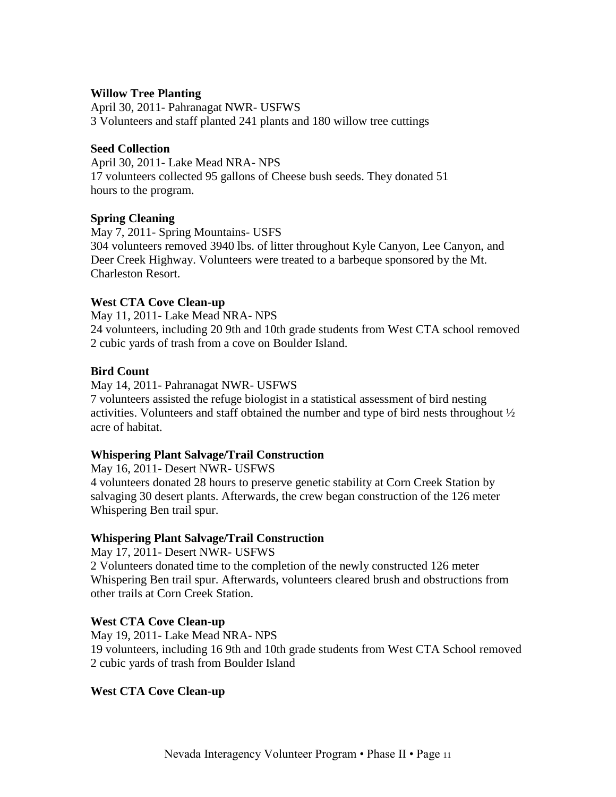#### **Willow Tree Planting**

April 30, 2011- Pahranagat NWR- USFWS 3 Volunteers and staff planted 241 plants and 180 willow tree cuttings

#### **Seed Collection**

April 30, 2011- Lake Mead NRA- NPS 17 volunteers collected 95 gallons of Cheese bush seeds. They donated 51 hours to the program.

#### **Spring Cleaning**

May 7, 2011- Spring Mountains- USFS 304 volunteers removed 3940 lbs. of litter throughout Kyle Canyon, Lee Canyon, and Deer Creek Highway. Volunteers were treated to a barbeque sponsored by the Mt. Charleston Resort.

#### **West CTA Cove Clean-up**

May 11, 2011- Lake Mead NRA- NPS 24 volunteers, including 20 9th and 10th grade students from West CTA school removed 2 cubic yards of trash from a cove on Boulder Island.

#### **Bird Count**

May 14, 2011- Pahranagat NWR- USFWS 7 volunteers assisted the refuge biologist in a statistical assessment of bird nesting activities. Volunteers and staff obtained the number and type of bird nests throughout  $\frac{1}{2}$ acre of habitat.

#### **Whispering Plant Salvage/Trail Construction**

May 16, 2011- Desert NWR- USFWS 4 volunteers donated 28 hours to preserve genetic stability at Corn Creek Station by salvaging 30 desert plants. Afterwards, the crew began construction of the 126 meter Whispering Ben trail spur.

#### **Whispering Plant Salvage/Trail Construction**

May 17, 2011- Desert NWR- USFWS 2 Volunteers donated time to the completion of the newly constructed 126 meter Whispering Ben trail spur. Afterwards, volunteers cleared brush and obstructions from other trails at Corn Creek Station.

#### **West CTA Cove Clean-up**

May 19, 2011- Lake Mead NRA- NPS 19 volunteers, including 16 9th and 10th grade students from West CTA School removed 2 cubic yards of trash from Boulder Island

#### **West CTA Cove Clean-up**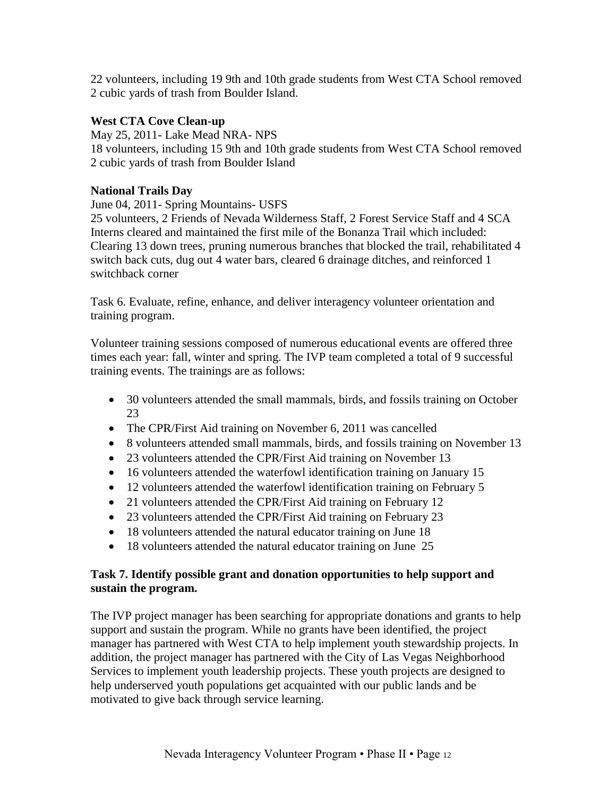22 volunteers, including 19 9th and 10th grade students from West CTA School removed 2 cubic yards of trash from Boulder Island.

# **West CTA Cove Clean-up**

May 25, 2011- Lake Mead NRA- NPS 18 volunteers, including 15 9th and 10th grade students from West CTA School removed 2 cubic yards of trash from Boulder Island

# **National Trails Day**

June 04, 2011- Spring Mountains- USFS

25 volunteers, 2 Friends of Nevada Wilderness Staff, 2 Forest Service Staff and 4 SCA Interns cleared and maintained the first mile of the Bonanza Trail which included: Clearing 13 down trees, pruning numerous branches that blocked the trail, rehabilitated 4 switch back cuts, dug out 4 water bars, cleared 6 drainage ditches, and reinforced 1 switchback corner

Task 6. Evaluate, refine, enhance, and deliver interagency volunteer orientation and training program.

Volunteer training sessions composed of numerous educational events are offered three times each year: fall, winter and spring. The IVP team completed a total of 9 successful training events. The trainings are as follows:

- 30 volunteers attended the small mammals, birds, and fossils training on October 23
- The CPR/First Aid training on November 6, 2011 was cancelled
- 8 volunteers attended small mammals, birds, and fossils training on November 13
- 23 volunteers attended the CPR/First Aid training on November 13
- 16 volunteers attended the waterfowl identification training on January 15
- 12 volunteers attended the waterfowl identification training on February 5
- 21 volunteers attended the CPR/First Aid training on February 12
- 23 volunteers attended the CPR/First Aid training on February 23
- 18 volunteers attended the natural educator training on June 18
- 18 volunteers attended the natural educator training on June 25

# **Task 7. Identify possible grant and donation opportunities to help support and sustain the program.**

The IVP project manager has been searching for appropriate donations and grants to help support and sustain the program. While no grants have been identified, the project manager has partnered with West CTA to help implement youth stewardship projects. In addition, the project manager has partnered with the City of Las Vegas Neighborhood Services to implement youth leadership projects. These youth projects are designed to help underserved youth populations get acquainted with our public lands and be motivated to give back through service learning.